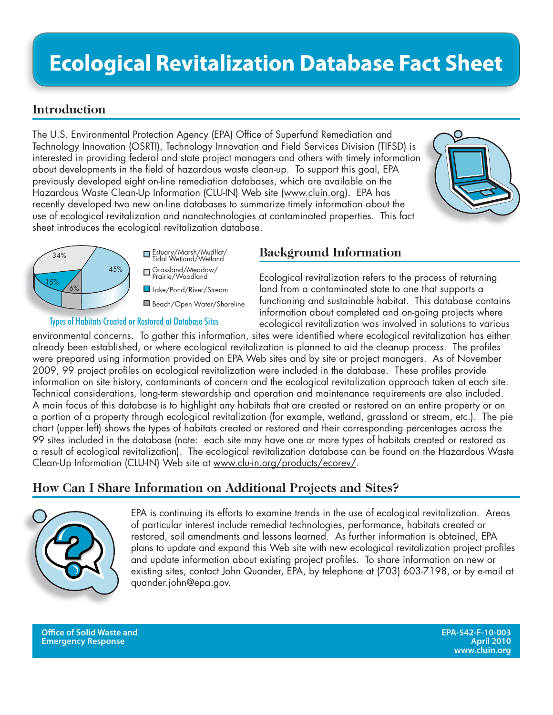# **Ecological Revitalization Database Fact Sheet**

### **Introduction**

The U.S. Environmental Protection Agency (EPA) Office of Superfund Remediation and Technology Innovation (OSRTI), Technology Innovation and Field Services Division (TIFSD) is interested in providing federal and state project managers and others with timely information about developments in the field of hazardous waste clean-up. To support this goal, EPA previously developed eight on-line remediation databases, which are available on the Hazardous Waste Clean-Up Information (CLU-IN) Web site (www.cluin.org). EPA has recently developed two new on-line databases to summarize timely information about the use of ecological revitalization and nanotechnologies at contaminated properties. This fact sheet introduces the ecological revitalization database.





Lake/Pond/River/Stream Grassland/Meadow/ Prairie/Woodland Estuary/Marsh/Mudflat/ Tidal Wetland/Wetland

Beach/Open Water/Shoreline

## Types of Habitats Created or Restored at Database Sites

#### **Background Information**

Ecological revitalization refers to the process of returning land from a contaminated state to one that supports a functioning and sustainable habitat. This database contains information about completed and on-going projects where ecological revitalization was involved in solutions to various

environmental concerns. To gather this information, sites were identified where ecological revitalization has either already been established, or where ecological revitalization is planned to aid the cleanup process. The profiles were prepared using information provided on EPA Web sites and by site or project managers. As of November 2009, 99 project profiles on ecological revitalization were included in the database. These profiles provide information on site history, contaminants of concern and the ecological revitalization approach taken at each site. Technical considerations, long-term stewardship and operation and maintenance requirements are also included. A main focus of this database is to highlight any habitats that are created or restored on an entire property or on a portion of a property through ecological revitalization (for example, wetland, grassland or stream, etc.). The pie chart (upper left) shows the types of habitats created or restored and their corresponding percentages across the 99 sites included in the database (note: each site may have one or more types of habitats created or restored as a result of ecological revitalization). The ecological revitalization database can be found on the Hazardous Waste Clean-Up Information (CLU-IN) Web site at www.clu-in.org/products/ecorev/.

## **How Can I Share Information on Additional Projects and Sites?**



EPA is continuing its efforts to examine trends in the use of ecological revitalization. Areas of particular interest include remedial technologies, performance, habitats created or restored, soil amendments and lessons learned. As further information is obtained, EPA plans to update and expand this Web site with new ecological revitalization project profiles and update information about existing project profiles. To share information on new or existing sites, contact John Quander, EPA, by telephone at (703) 603-7198, or by e-mail at quander.john@epa.gov.

**Offi ce of Solid Waste and EPA-542-F-10-003 Emergency Response**